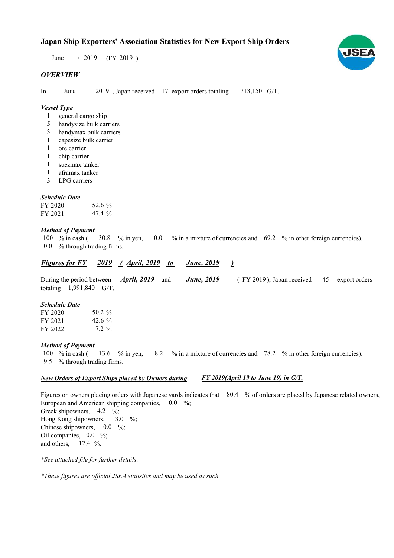Japan Ship Exporters' Association Statistics for New Export Ship Orders

 $/ 2019$  (FY 2019) June

# **OVERVIEW**

In June 2019, Japan received 17 export orders totaling 713,150 G/T.

## Vessel Type

- general cargo ship 1
- handysize bulk carriers 5
- handymax bulk carriers 3
- capesize bulk carrier 1
- ore carrier 1
- chip carrier 1
- suezmax tanker 1
- aframax tanker 1
- LPG carriers 3

## Schedule Date

| FY 2020 | 52.6 %    |
|---------|-----------|
| FY 2021 | 47.4 $\%$ |

#### Method of Payment

% in cash ( $\frac{30.8}{ }$  % in yen,  $\frac{0.0}{ }$  % in a mixture of currencies and  $\frac{69.2}{ }$  % in other foreign currencies). % through trading firms. 0.0 100  $%$  in cash ( 30.8 % in yen,

#### **Figures for FY** 2019 (April, 2019 to June, 2019 ) **June**, 2019

During the period between *April*, 2019 and *June*, 2019 (FY 2019), Japan received 45 export orders totaling  $1,991,840$  G/T. *April*, 2019 and **June**, 2019 45

## Schedule Date

| FY 2020 | 50.2 $\%$ |
|---------|-----------|
| FY 2021 | 42.6 $\%$ |
| FY 2022 | $7.2\%$   |

#### Method of Payment

% in cash ( $\frac{13.6}{8}$  % in yen,  $\frac{8.2}{8}$  % in a mixture of currencies and  $\frac{78.2}{8}$  % in other foreign currencies). % through trading firms. 9.5 13.6 % in yen, 100  $%$  in cash (

#### New Orders of Export Ships placed by Owners during FY 2019(April 19 to June 19) in G/T.

Figures on owners placing orders with Japanese yards indicates that 80.4 % of orders are placed by Japanese related owners, European and American shipping companies, 0.0 %; Greek shipowners,  $4.2 \frac{6}{10}$ ; Hong Kong shipowners, Chinese shipowners,  $0.0 \div 0$ ; Oil companies,  $0.0\%$ ; and others,  $12.4 \%$ . 3.0  $\frac{9}{6}$ ;

\*See attached file for further details.

\*These figures are official JSEA statistics and may be used as such.

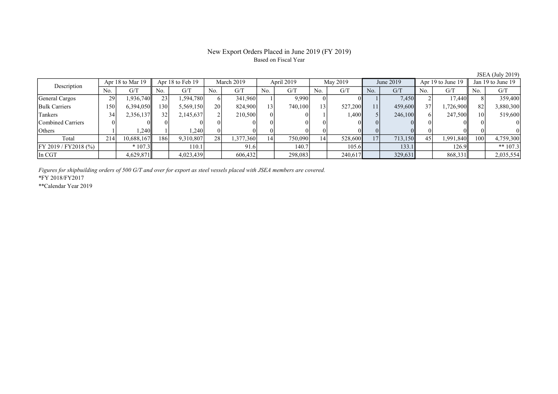# New Export Orders Placed in June 2019 (FY 2019) Based on Fiscal Year

JSEA (July 2019)

| Description              | Apr 18 to Mar 19 |            | Apr 18 to Feb 19 |           | March 2019 |           | April 2019      |         | May 2019       |         | June 2019       |         | Apr 19 to June 19 |           | Jan 19 to June 19 |            |
|--------------------------|------------------|------------|------------------|-----------|------------|-----------|-----------------|---------|----------------|---------|-----------------|---------|-------------------|-----------|-------------------|------------|
|                          | No.              | G/T        | No.              | G/T       | No.        | G/T       | No.             | G/T     | No.            | G/T     | No.             | G/T     | No.               | G/T       | No.               | G/T        |
| General Cargos           | 29               | 1,936,740  | 23               | ,594,780  |            | 341,960   |                 | 9.990   |                |         |                 | 7,450   |                   | 17.440    |                   | 359,400    |
| <b>Bulk Carriers</b>     | 150              | 6,394,050  | 130              | 5,569,150 | 20         | 824,900   | 13 <sup>1</sup> | 740,100 | $\overline{3}$ | 527,200 | 111             | 459,600 | 37 <sup>1</sup>   | 1.726.900 | 82                | 3,880,300  |
| Tankers                  | 34               | 2,356,137  | 32               | 2,145,637 |            | 210,500   | $\theta$        |         |                | 1,400   |                 | 246,100 |                   | 247,500   | 10 <sup>1</sup>   | 519,600    |
| <b>Combined Carriers</b> |                  |            |                  |           |            |           | $\Omega$        |         |                | OI.     |                 |         |                   |           |                   |            |
| Others                   |                  | .240       |                  | .2401     |            |           |                 |         |                | ОL      |                 |         |                   |           |                   |            |
| Total                    | 214              | 10,688,167 | 186              | 9,310,807 | 28         | 1,377,360 | 141             | 750,090 | 14             | 528,600 | 17 <sup>1</sup> | 713,150 | 45                | 1,991,840 | 100I              | 4,759,300  |
| FY 2019 / FY2018 (%)     |                  | $*107.3$   |                  | 110.1     |            | 91.6      |                 | 140.7   |                | 105.6   |                 | 133.1   |                   | 126.9     |                   | ** $107.3$ |
| $\ln$ CGT                |                  | 4,629,871  |                  | 4,023,439 |            | 606,432   |                 | 298,083 |                | 240,617 |                 | 329,631 |                   | 868,331   |                   | 2,035,554  |

Figures for shipbuilding orders of 500 G/T and over for export as steel vessels placed with JSEA members are covered.

\*FY 2018/FY2017

\*\*Calendar Year 2019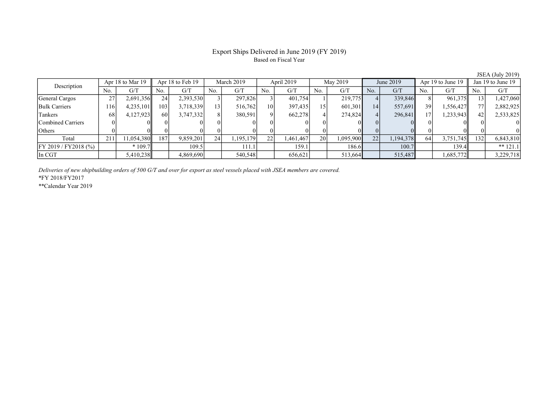# Export Ships Delivered in June 2019 (FY 2019) Based on Fiscal Year

JSEA (July 2019)

| Description              | Apr 18 to Mar 19 |            | Apr 18 to Feb 19 |           | March 2019 |           | April 2019      |           | May 2019 |           | June 2019 |           | Apr 19 to June 19 |            | Jan 19 to June 19 |            |
|--------------------------|------------------|------------|------------------|-----------|------------|-----------|-----------------|-----------|----------|-----------|-----------|-----------|-------------------|------------|-------------------|------------|
|                          | No.              | G/T        | No.              | G/T       | No.        | G/T       | No.             | G/T       | No.      | G/T       | No.       | G/T       | No.               | G/T        | No.               | G/T        |
| General Cargos           | 27               | 2,691,356  | 24               | 2,393,530 |            | 297,826   |                 | 401,754   |          | 219,775   |           | 339,846   |                   | 961,375    | 13 <sup>1</sup>   | .427,060   |
| <b>Bulk Carriers</b>     | 116'             | 4,235,101  | 103              | 3,718,339 |            | 516,762   | 10 <sup>1</sup> | 397,435   | l 5      | 601,301   | 14        | 557,691   | 39 <sub>1</sub>   | 1,556,4271 | 77 <sub>1</sub>   | 2,882,925  |
| Tankers                  | 68               | 4,127,923  | 60               | 3,747,332 |            | 380,591   | ΩI              | 662,278   |          | 274,824   | 41        | 296,841   | 17                | 233,943. 1 | 42                | 2,533,825  |
| <b>Combined Carriers</b> |                  |            |                  |           |            |           |                 |           |          |           |           |           |                   |            |                   |            |
| Others                   |                  |            |                  |           |            |           |                 |           |          | ОL        |           |           |                   |            |                   |            |
| Total                    | 211              | 11,054,380 | 187              | 9,859,201 | 24         | 1,195,179 | 22              | 1,461,467 | 20       | 1,095,900 | 22        | 1,194,378 | 64                | 3,751,745  | 132               | 6,843,810  |
| FY 2019 / FY 2018 (%)    |                  | $*109.7$   |                  | 109.5     |            | 111.1     |                 | 159.1     |          | 186.6     |           | 100.7     |                   | 139.4ll    |                   | ** $121.1$ |
| $\ln$ CGT                |                  | 5,410,238  |                  | 4,869,690 |            | 540,548   |                 | 656,621   |          | 513,664   |           | 515,487   |                   | 1,685,772  |                   | 3,229,718  |

Deliveries of new shipbuilding orders of 500 G/T and over for export as steel vessels placed with JSEA members are covered.

\*FY 2018/FY2017

\*\*Calendar Year 2019